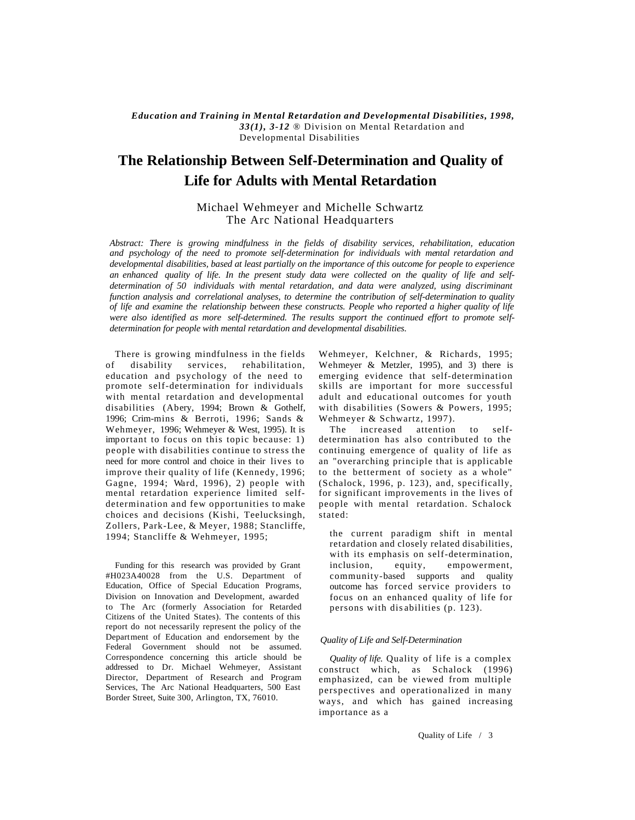*Education and Training in Mental Retardation and Developmental Disabilities, 1998, 33(1), 3-12* ® Division on Mental Retardation and Developmental Disabilities

# **The Relationship Between Self-Determination and Quality of Life for Adults with Mental Retardation**

# Michael Wehmeyer and Michelle Schwartz The Arc National Headquarters

*Abstract: There is growing mindfulness in the fields of disability services, rehabilitation, education and psychology of the need to promote self-determination for individuals with mental retardation and developmental disabilities, based at least partially on the importance of this outcome for people to experience an enhanced quality of life. In the present study data were collected on the quality of life and selfdetermination of 50 individuals with mental retardation, and data were analyzed, using discriminant function analysis and correlational analyses, to determine the contribution of self-determination to quality of life and examine the relationship between these constructs. People who reported a higher quality of life were also identified as more self-determined. The results support the continued effort to promote selfdetermination for people with mental retardation and developmental disabilities.*

There is growing mindfulness in the fields of disability services, rehabilitation, education and psychology of the need to promote self-determination for individuals with mental retardation and developmental disabilities (Abery, 1994; Brown & Gothelf, 1996; Crim-mins & Berroti, 1996; Sands & Wehmeyer, 1996; Wehmeyer & West, 1995). It is important to focus on this topic because: 1) people with disabilities continue to stress the need for more control and choice in their lives to improve their quality of life (Kennedy, 1996; Gagne, 1994; Ward, 1996), 2) people with mental retardation experience limited selfdetermination and few opportunities to make choices and decisions (Kishi, Teelucksingh, Zollers, Park-Lee, & Meyer, 1988; Stancliffe, 1994; Stancliffe & Wehmeyer, 1995;

Funding for this research was provided by Grant #H023A40028 from the U.S. Department of Education, Office of Special Education Programs, Division on Innovation and Development, awarded to The Arc (formerly Association for Retarded Citizens of the United States). The contents of this report do not necessarily represent the policy of the Department of Education and endorsement by the Federal Government should not be assumed. Correspondence concerning this article should be addressed to Dr. Michael Wehmeyer, Assistant Director, Department of Research and Program Services, The Arc National Headquarters, 500 East Border Street, Suite 300, Arlington, TX, 76010.

Wehmeyer, Kelchner, & Richards, 1995; Wehmeyer & Metzler, 1995), and 3) there is emerging evidence that self-determination skills are important for more successful adult and educational outcomes for youth with disabilities (Sowers & Powers, 1995; Wehmeyer & Schwartz, 1997).

The increased attention to selfdetermination has also contributed to the continuing emergence of quality of life as an "overarching principle that is applicable to the betterment of society as a whole" (Schalock, 1996, p. 123), and, specifically, for significant improvements in the lives of people with mental retardation. Schalock stated:

the current paradigm shift in mental retardation and closely related disabilities, with its emphasis on self-determination, inclusion, equity, empowerment, community-based supports and quality outcome has forced service providers to focus on an enhanced quality of life for persons with dis abilities (p. 123).

### *Quality of Life and Self-Determination*

*Quality of life.* Quality of life is a complex construct which, as Schalock (1996) emphasized, can be viewed from multiple perspectives and operationalized in many ways, and which has gained increasing importance as a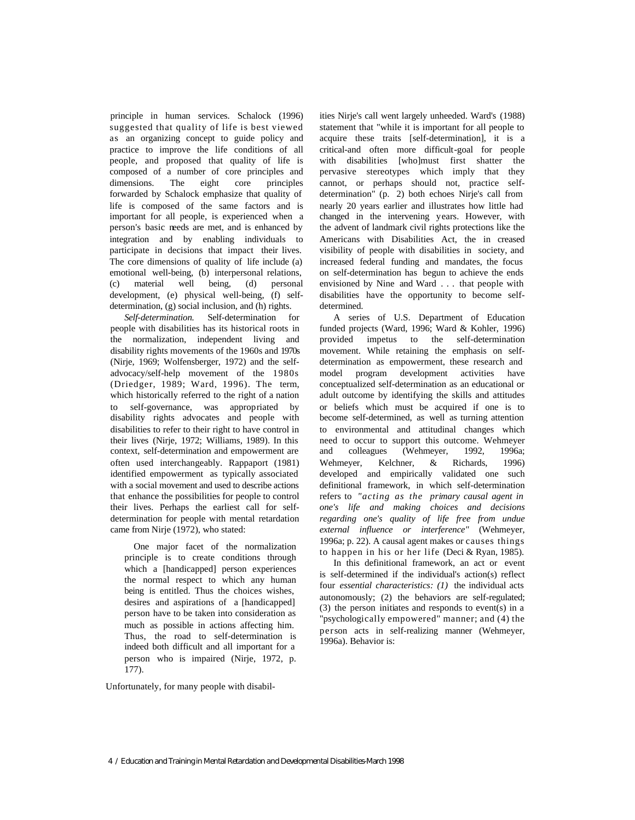principle in human services. Schalock (1996) suggested that quality of life is best viewed as an organizing concept to guide policy and practice to improve the life conditions of all people, and proposed that quality of life is composed of a number of core principles and dimensions. The eight core principles forwarded by Schalock emphasize that quality of life is composed of the same factors and is important for all people, is experienced when a person's basic needs are met, and is enhanced by integration and by enabling individuals to participate in decisions that impact their lives. The core dimensions of quality of life include (a) emotional well-being, (b) interpersonal relations, (c) material well being, (d) personal development, (e) physical well-being, (f) selfdetermination, (g) social inclusion, and (h) rights.

*Self-determination.* Self-determination for people with disabilities has its historical roots in the normalization, independent living and disability rights movements of the 1960s and 1970s (Nirje, 1969; Wolfensberger, 1972) and the selfadvocacy/self-help movement of the 1980s (Driedger, 1989; Ward, 1996). The term, which historically referred to the right of a nation to self-governance, was appropriated by disability rights advocates and people with disabilities to refer to their right to have control in their lives (Nirje, 1972; Williams, 1989). In this context, self-determination and empowerment are often used interchangeably. Rappaport (1981) identified empowerment as typically associated with a social movement and used to describe actions that enhance the possibilities for people to control their lives. Perhaps the earliest call for selfdetermination for people with mental retardation came from Nirje (1972), who stated:

One major facet of the normalization principle is to create conditions through which a [handicapped] person experiences the normal respect to which any human being is entitled. Thus the choices wishes, desires and aspirations of a [handicapped] person have to be taken into consideration as much as possible in actions affecting him. Thus, the road to self-determination is indeed both difficult and all important for a person who is impaired (Nirje, 1972, p. 177).

Unfortunately, for many people with disabil-

ities Nirje's call went largely unheeded. Ward's (1988) statement that "while it is important for all people to acquire these traits [self-determination], it is a critical-and often more difficult-goal for people with disabilities [who]must first shatter the pervasive stereotypes which imply that they cannot, or perhaps should not, practice selfdetermination" (p. 2) both echoes Nirje's call from nearly 20 years earlier and illustrates how little had changed in the intervening years. However, with the advent of landmark civil rights protections like the Americans with Disabilities Act, the in creased visibility of people with disabilities in society, and increased federal funding and mandates, the focus on self-determination has begun to achieve the ends envisioned by Nine and Ward . . . that people with disabilities have the opportunity to become selfdetermined.

A series of U.S. Department of Education funded projects (Ward, 1996; Ward & Kohler, 1996) provided impetus to the self-determination movement. While retaining the emphasis on selfdetermination as empowerment, these research and model program development activities have conceptualized self-determination as an educational or adult outcome by identifying the skills and attitudes or beliefs which must be acquired if one is to become self-determined, as well as turning attention to environmental and attitudinal changes which need to occur to support this outcome. Wehmeyer and colleagues (Wehmeyer, 1992, 1996a; Wehmeyer, Kelchner, & Richards, 1996) developed and empirically validated one such definitional framework, in which self-determination refers to *"acting as the primary causal agent in one's life and making choices and decisions regarding one's quality of life free from undue external influence or interference"* (Wehmeyer, 1996a; p. 22). A causal agent makes or causes things to happen in his or her life (Deci & Ryan, 1985).

In this definitional framework, an act or event is self-determined if the individual's action(s) reflect four *essential characteristics: (1)* the individual acts autonomously; (2) the behaviors are self-regulated; (3) the person initiates and responds to event(s) in a "psychologically empowered" manner; and (4) the person acts in self-realizing manner (Wehmeyer, 1996a). Behavior is: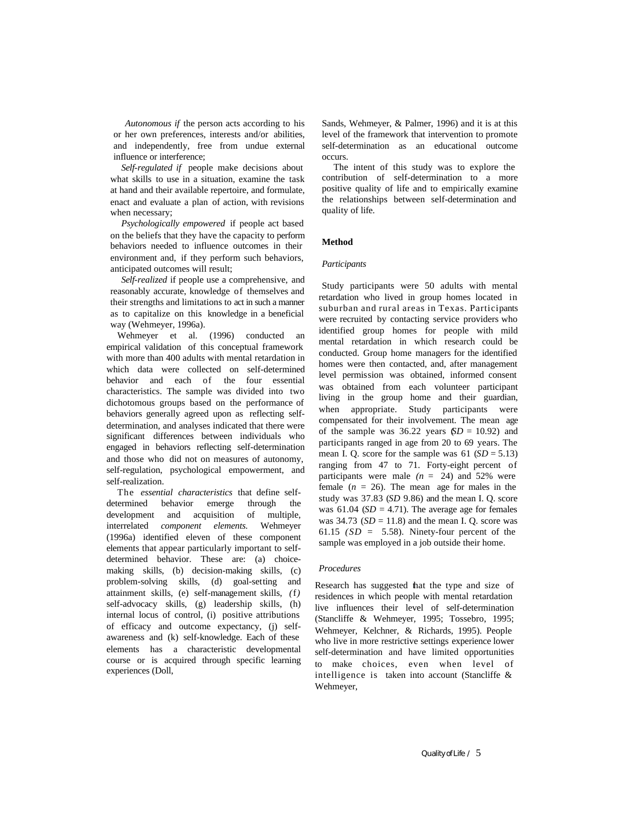*Autonomous if* the person acts according to his or her own preferences, interests and/or abilities, and independently, free from undue external influence or interference;

*Self-regulated if* people make decisions about what skills to use in a situation, examine the task at hand and their available repertoire, and formulate, enact and evaluate a plan of action, with revisions when necessary;

*Psychologically empowered* if people act based on the beliefs that they have the capacity to perform behaviors needed to influence outcomes in their environment and, if they perform such behaviors, anticipated outcomes will result;

*Self-realized* if people use a comprehensive, and reasonably accurate, knowledge of themselves and their strengths and limitations to act in such a manner as to capitalize on this knowledge in a beneficial way (Wehmeyer, 1996a).

Wehmeyer et al. (1996) conducted an empirical validation of this conceptual framework with more than 400 adults with mental retardation in which data were collected on self-determined behavior and each of the four essential characteristics. The sample was divided into two dichotomous groups based on the performance of behaviors generally agreed upon as reflecting selfdetermination, and analyses indicated that there were significant differences between individuals who engaged in behaviors reflecting self-determination and those who did not on measures of autonomy, self-regulation, psychological empowerment, and self-realization.

The *essential characteristics* that define selfdetermined behavior emerge through the development and acquisition of multiple, interrelated *component elements.* Wehmeyer (1996a) identified eleven of these component elements that appear particularly important to selfdetermined behavior. These are: (a) choicemaking skills, (b) decision-making skills, (c) problem-solving skills, (d) goal-setting and attainment skills, (e) self-management skills, *(*f*)*  self-advocacy skills, (g) leadership skills, (h) internal locus of control, (i) positive attributions of efficacy and outcome expectancy, (j) selfawareness and (k) self-knowledge. Each of these elements has a characteristic developmental course or is acquired through specific learning experiences (Doll,

Sands, Wehmeyer, & Palmer, 1996) and it is at this level of the framework that intervention to promote self-determination as an educational outcome occurs.

The intent of this study was to explore the contribution of self-determination to a more positive quality of life and to empirically examine the relationships between self-determination and quality of life.

#### **Method**

#### *Participants*

Study participants were 50 adults with mental retardation who lived in group homes located in suburban and rural areas in Texas. Participants were recruited by contacting service providers who identified group homes for people with mild mental retardation in which research could be conducted. Group home managers for the identified homes were then contacted, and, after management level permission was obtained, informed consent was obtained from each volunteer participant living in the group home and their guardian, when appropriate. Study participants were compensated for their involvement. The mean age of the sample was  $36.22$  years  $(D = 10.92)$  and participants ranged in age from 20 to 69 years. The mean I. Q. score for the sample was  $61$  ( $SD = 5.13$ ) ranging from 47 to 71. Forty-eight percent of participants were male  $(n = 24)$  and 52% were female  $(n = 26)$ . The mean age for males in the study was 37.83 (*SD* 9.86) and the mean I. Q. score was  $61.04$  (*SD* = 4.71). The average age for females was  $34.73$  ( $SD = 11.8$ ) and the mean I. Q. score was 61.15  $(SD = 5.58)$ . Ninety-four percent of the sample was employed in a job outside their home.

#### *Procedures*

Research has suggested that the type and size of residences in which people with mental retardation live influences their level of self-determination (Stancliffe & Wehmeyer, 1995; Tossebro, 1995; Wehmeyer, Kelchner, & Richards, 1995). People who live in more restrictive settings experience lower self-determination and have limited opportunities to make choices, even when level of intelligence is taken into account (Stancliffe & Wehmeyer,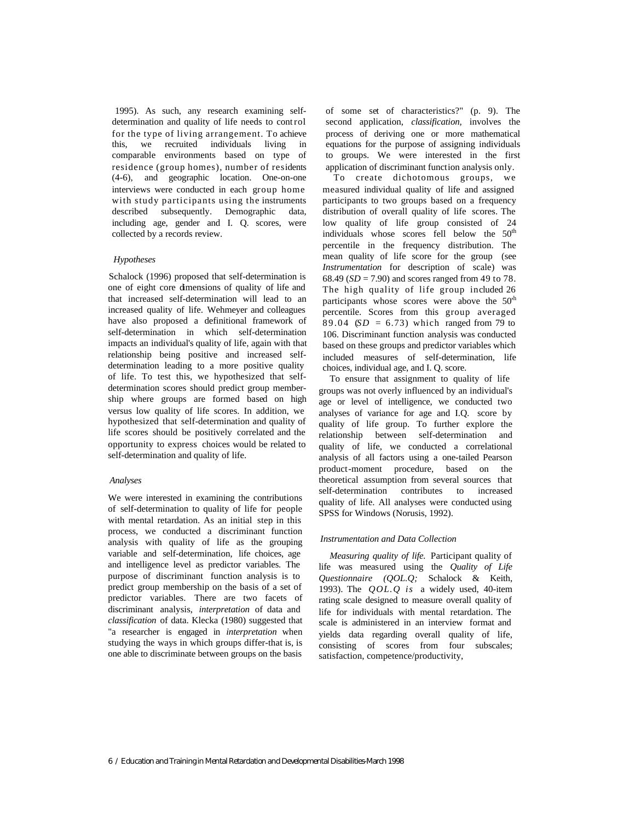1995). As such, any research examining selfdetermination and quality of life needs to cont rol for the type of living arrangement. To achieve this, we recruited individuals living in comparable environments based on type of residence (group homes), number of residents (4-6), and geographic location. One-on-one interviews were conducted in each group home with study participants using the instruments described subsequently. Demographic data, including age, gender and I. Q. scores, were collected by a records review.

#### *Hypotheses*

Schalock (1996) proposed that self-determination is one of eight core dimensions of quality of life and that increased self-determination will lead to an increased quality of life. Wehmeyer and colleagues have also proposed a definitional framework of self-determination in which self-determination impacts an individual's quality of life, again with that relationship being positive and increased selfdetermination leading to a more positive quality of life. To test this, we hypothesized that selfdetermination scores should predict group membership where groups are formed based on high versus low quality of life scores. In addition, we hypothesized that self-determination and quality of life scores should be positively correlated and the opportunity to express choices would be related to self-determination and quality of life.

#### *Analyses*

We were interested in examining the contributions of self-determination to quality of life for people with mental retardation. As an initial step in this process, we conducted a discriminant function analysis with quality of life as the grouping variable and self-determination, life choices, age and intelligence level as predictor variables. The purpose of discriminant function analysis is to predict group membership on the basis of a set of predictor variables. There are two facets of discriminant analysis, *interpretation* of data and *classification* of data. Klecka (1980) suggested that "a researcher is engaged in *interpretation* when studying the ways in which groups differ-that is, is one able to discriminate between groups on the basis

of some set of characteristics?" (p. 9). The second application, *classification,* involves the process of deriving one or more mathematical equations for the purpose of assigning individuals to groups. We were interested in the first application of discriminant function analysis only.

To create dichotomous groups, we measured individual quality of life and assigned participants to two groups based on a frequency distribution of overall quality of life scores. The low quality of life group consisted of 24 individuals whose scores fell below the 50<sup>th</sup> percentile in the frequency distribution. The mean quality of life score for the group (see *Instrumentation* for description of scale) was 68.49 ( $SD = 7.90$ ) and scores ranged from 49 to 78. The high quality of life group included 26 participants whose scores were above the  $50<sup>th</sup>$ percentile. Scores from this group averaged 89.04 ( $SD = 6.73$ ) which ranged from 79 to 106. Discriminant function analysis was conducted based on these groups and predictor variables which included measures of self-determination, life choices, individual age, and I. Q. score.

To ensure that assignment to quality of life groups was not overly influenced by an individual's age or level of intelligence, we conducted two analyses of variance for age and I.Q. score by quality of life group. To further explore the relationship between self-determination and quality of life, we conducted a correlational analysis of all factors using a one-tailed Pearson product-moment procedure, based on the theoretical assumption from several sources that self-determination contributes to increased quality of life. All analyses were conducted using SPSS for Windows (Norusis, 1992).

#### *Instrumentation and Data Collection*

*Measuring quality of life.* Participant quality of life was measured using the *Quality of Life Questionnaire (QOL.Q;* Schalock & Keith, 1993). The *QOL.Q is* a widely used, 40-item rating scale designed to measure overall quality of life for individuals with mental retardation. The scale is administered in an interview format and yields data regarding overall quality of life, consisting of scores from four subscales; satisfaction, competence/productivity,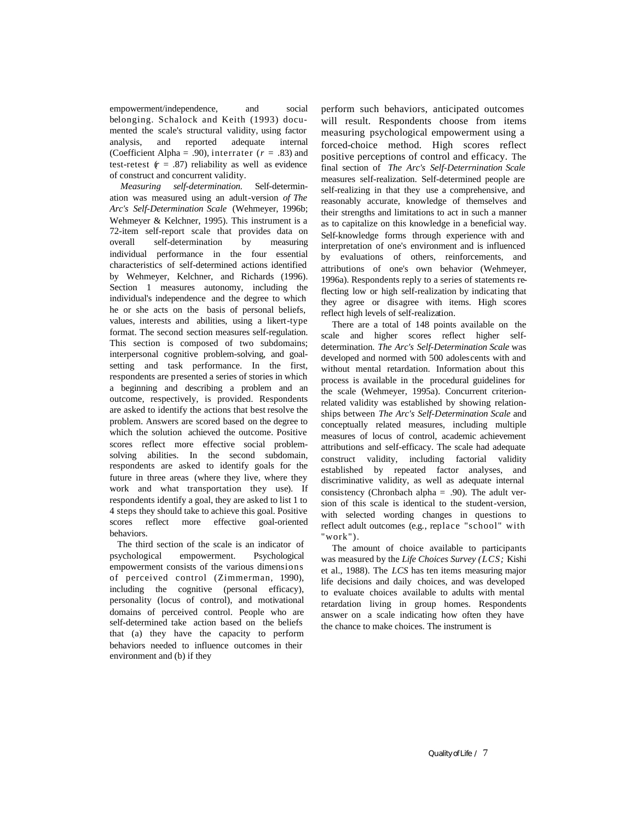empowerment/independence, and social belonging. Schalock and Keith (1993) documented the scale's structural validity, using factor analysis, and reported adequate internal (Coefficient Alpha = .90), interrater  $(r = .83)$  and test-retest  $(r = .87)$  reliability as well as evidence of construct and concurrent validity.

*Measuring self-determination.* Self-determination was measured using an adult-version *of The Arc's Self-Determination Scale* (Wehmeyer, 1996b; Wehmeyer & Kelchner, 1995). This instrument is a 72-item self-report scale that provides data on overall self-determination by measuring individual performance in the four essential characteristics of self-determined actions identified by Wehmeyer, Kelchner, and Richards (1996). Section 1 measures autonomy, including the individual's independence and the degree to which he or she acts on the basis of personal beliefs, values, interests and abilities, using a likert-type format. The second section measures self-regulation. This section is composed of two subdomains; interpersonal cognitive problem-solving, and goalsetting and task performance. In the first, respondents are presented a series of stories in which a beginning and describing a problem and an outcome, respectively, is provided. Respondents are asked to identify the actions that best resolve the problem. Answers are scored based on the degree to which the solution achieved the outcome. Positive scores reflect more effective social problemsolving abilities. In the second subdomain, respondents are asked to identify goals for the future in three areas (where they live, where they work and what transportation they use). If respondents identify a goal, they are asked to list 1 to 4 steps they should take to achieve this goal. Positive scores reflect more effective goal-oriented behaviors.

The third section of the scale is an indicator of psychological empowerment. Psychological empowerment consists of the various dimensions of perceived control (Zimmerman, 1990), including the cognitive (personal efficacy), personality (locus of control), and motivational domains of perceived control. People who are self-determined take action based on the beliefs that (a) they have the capacity to perform behaviors needed to influence outcomes in their environment and (b) if they

perform such behaviors, anticipated outcomes will result. Respondents choose from items measuring psychological empowerment using a forced-choice method. High scores reflect positive perceptions of control and efficacy. The final section of *The Arc's Self-Deterrnination Scale*  measures self-realization. Self-determined people are self-realizing in that they use a comprehensive, and reasonably accurate, knowledge of themselves and their strengths and limitations to act in such a manner as to capitalize on this knowledge in a beneficial way. Self-knowledge forms through experience with and interpretation of one's environment and is influenced by evaluations of others, reinforcements, and attributions of one's own behavior (Wehmeyer, 1996a). Respondents reply to a series of statements reflecting low or high self-realization by indicating that they agree or disagree with items. High scores reflect high levels of self-realization.

There are a total of 148 points available on the scale and higher scores reflect higher selfdetermination. *The Arc's Self-Determination Scale* was developed and normed with 500 adolescents with and without mental retardation. Information about this process is available in the procedural guidelines for the scale (Wehmeyer, 1995a). Concurrent criterionrelated validity was established by showing relationships between *The Arc's Self-Determination Scale* and conceptually related measures, including multiple measures of locus of control, academic achievement attributions and self-efficacy. The scale had adequate construct validity, including factorial validity established by repeated factor analyses, and discriminative validity, as well as adequate internal consistency (Chronbach alpha =  $.90$ ). The adult version of this scale is identical to the student-version, with selected wording changes in questions to reflect adult outcomes (e.g., replace "school" with "work").

The amount of choice available to participants was measured by the *Life Choices Survey (LCS;* Kishi et al., 1988). The *LCS* has ten items measuring major life decisions and daily choices, and was developed to evaluate choices available to adults with mental retardation living in group homes. Respondents answer on a scale indicating how often they have the chance to make choices. The instrument is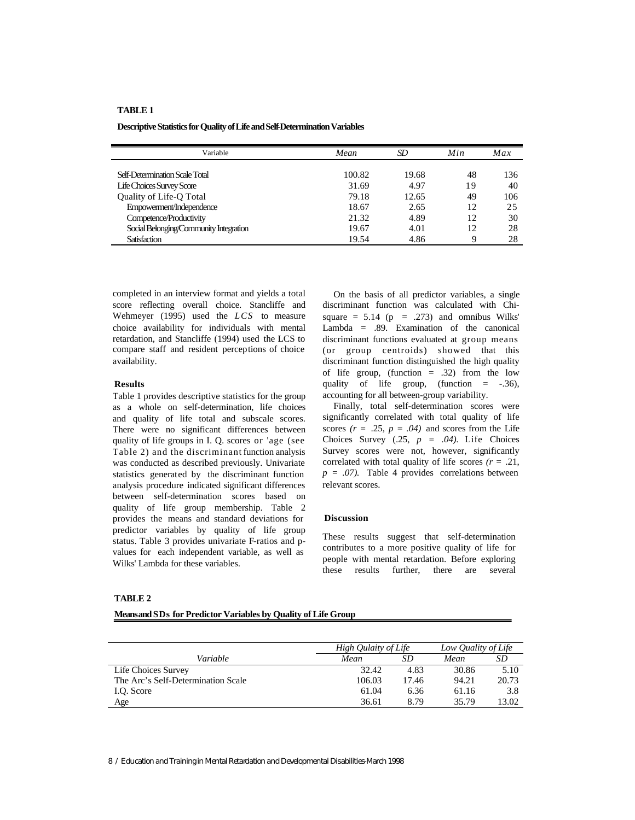#### **TABLE 1**

**Descriptive Statistics for Quality of Life and Self-Determination Variables**

| Variable                               | Mean   | SD    | Min | Max |
|----------------------------------------|--------|-------|-----|-----|
|                                        |        |       |     |     |
| Self-Determination Scale Total         | 100.82 | 19.68 | 48  | 136 |
| <b>Life Choices Survey Score</b>       | 31.69  | 4.97  | 19  | 40  |
| Quality of Life-Q Total                | 79.18  | 12.65 | 49  | 106 |
| Empowerment/Independence               | 18.67  | 2.65  | 12  | 25  |
| Competence/Productivity                | 21.32  | 4.89  | 12  | 30  |
| Social Belonging/Community Integration | 19.67  | 4.01  | 12  | 28  |
| <b>Satisfaction</b>                    | 19.54  | 4.86  | Q   | 28  |

completed in an interview format and yields a total score reflecting overall choice. Stancliffe and Wehmeyer (1995) used the *LCS* to measure choice availability for individuals with mental retardation, and Stancliffe (1994) used the LCS to compare staff and resident perceptions of choice availability.

#### **Results**

Table 1 provides descriptive statistics for the group as a whole on self-determination, life choices and quality of life total and subscale scores. There were no significant differences between quality of life groups in I. Q. scores or 'age (see Table 2) and the discriminant function analysis was conducted as described previously. Univariate statistics generated by the discriminant function analysis procedure indicated significant differences between self-determination scores based on quality of life group membership. Table 2 provides the means and standard deviations for predictor variables by quality of life group status. Table 3 provides univariate F-ratios and pvalues for each independent variable, as well as Wilks' Lambda for these variables.

**TABLE 2**

**Means and SDs for Predictor Variables by Quality of Life Group**

On the basis of all predictor variables, a single discriminant function was calculated with Chisquare  $= 5.14$  (p  $= .273$ ) and omnibus Wilks' Lambda = .89. Examination of the canonical discriminant functions evaluated at group means (or group centroids) showed that this discriminant function distinguished the high quality of life group, (function  $= .32$ ) from the low quality of life group, (function  $=$  -.36), accounting for all between-group variability.

Finally, total self-determination scores were significantly correlated with total quality of life scores  $(r = .25, p = .04)$  and scores from the Life Choices Survey  $(.25, p = .04)$ . Life Choices Survey scores were not, however, significantly correlated with total quality of life scores  $(r = .21, )$  $p = .07$ ). Table 4 provides correlations between relevant scores.

#### **Discussion**

These results suggest that self-determination contributes to a more positive quality of life for people with mental retardation. Before exploring these results further, there are several

|                                    |        | High Qulaity of Life |       | Low Quality of Life |  |
|------------------------------------|--------|----------------------|-------|---------------------|--|
| Variable                           | Mean   | SD                   | Mean  | SD                  |  |
| Life Choices Survey                | 32.42  | 4.83                 | 30.86 | 5.10                |  |
| The Arc's Self-Determination Scale | 106.03 | 17.46                | 94.21 | 20.73               |  |
| I.Q. Score                         | 61.04  | 6.36                 | 61.16 | 3.8                 |  |
| Age                                | 36.61  | 8.79                 | 35.79 | 13.02               |  |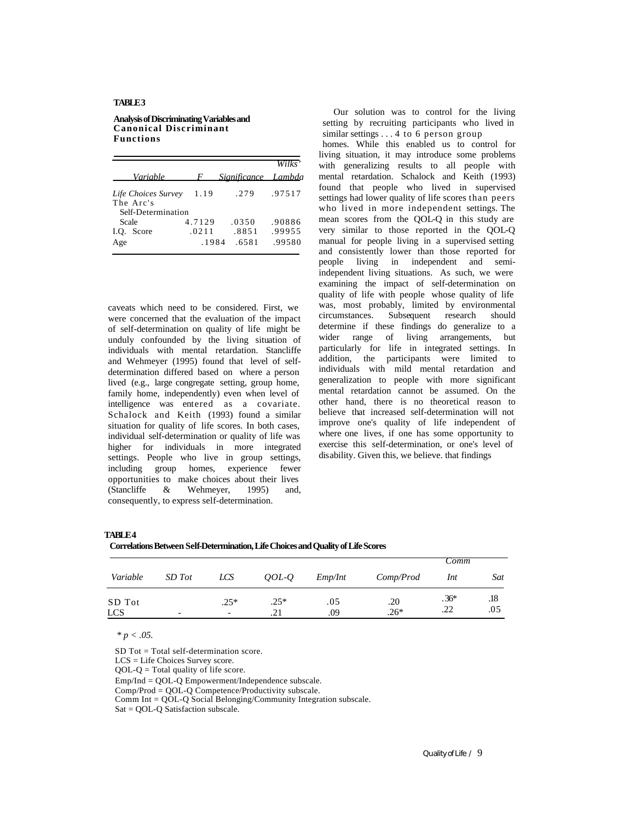## **TABLE 3**

#### **Analysis of Discriminating Variables and Canonical Discriminant Functions**

|                                                        |                          |                         | Wilks'                     |
|--------------------------------------------------------|--------------------------|-------------------------|----------------------------|
| Variable                                               |                          | F Significance Lambda   |                            |
| Life Choices Survey<br>The Arc's<br>Self-Determination | 1.19                     | .279                    | .97517                     |
| Scale<br>I.O. Score<br>Age                             | 4.7129<br>.0211<br>.1984 | .0350<br>.8851<br>.6581 | .90886<br>.99955<br>.99580 |

caveats which need to be considered. First, we were concerned that the evaluation of the impact of self-determination on quality of life might be unduly confounded by the living situation of individuals with mental retardation. Stancliffe and Wehmeyer (1995) found that level of selfdetermination differed based on where a person lived (e.g., large congregate setting, group home, family home, independently) even when level of intelligence was entered as a covariate. Schalock and Keith (1993) found a similar situation for quality of life scores. In both cases, individual self-determination or quality of life was higher for individuals in more integrated settings. People who live in group settings, including group homes, experience fewer opportunities to make choices about their lives (Stancliffe & Wehmeyer, 1995) and, consequently, to express self-determination.

Our solution was to control for the living setting by recruiting participants who lived in similar settings . . . 4 to 6 person group

homes. While this enabled us to control for living situation, it may introduce some problems with generalizing results to all people with mental retardation. Schalock and Keith (1993) found that people who lived in supervised settings had lower quality of life scores than peers who lived in more independent settings. The mean scores from the QOL-Q in this study are very similar to those reported in the QOL-Q manual for people living in a supervised setting and consistently lower than those reported for people living in independent and semiindependent living situations. As such, we were examining the impact of self-determination on quality of life with people whose quality of life was, most probably, limited by environmental circumstances. Subsequent research should determine if these findings do generalize to a wider range of living arrangements, but particularly for life in integrated settings. In addition, the participants were limited to individuals with mild mental retardation and generalization to people with more significant mental retardation cannot be assumed. On the other hand, there is no theoretical reason to believe that increased self-determination will not improve one's quality of life independent of where one lives, if one has some opportunity to exercise this self-determination, or one's level of disability. Given this, we believe. that findings

## **TABLE 4**

| Correlations Between Self-Determination, Life Choices and Quality of Life Scores |  |  |
|----------------------------------------------------------------------------------|--|--|
|                                                                                  |  |  |

|                      |                          |                                    |                           |            |               | Comm          |            |
|----------------------|--------------------------|------------------------------------|---------------------------|------------|---------------|---------------|------------|
| Variable             | SD Tot                   | <b>LCS</b>                         | $\mathit{QOL}-\mathit{O}$ | Emp/Int    | Comp/Prod     | Int           | Sat        |
| SD Tot<br><b>LCS</b> | $\overline{\phantom{0}}$ | $.25*$<br>$\overline{\phantom{a}}$ | $.25*$<br>.21             | .05<br>.09 | .20<br>$.26*$ | $.36*$<br>.22 | .18<br>.05 |

*\* p < .05.*

SD Tot = Total self-determination score.

LCS = Life Choices Survey score.

 $QOL-Q = Total$  quality of life score.

Emp/Ind = QOL-Q Empowerment/Independence subscale.

Comp/Prod = QOL-Q Competence/Productivity subscale.

Comm Int = QOL-Q Social Belonging/Community Integration subscale.

Sat = QOL-Q Satisfaction subscale.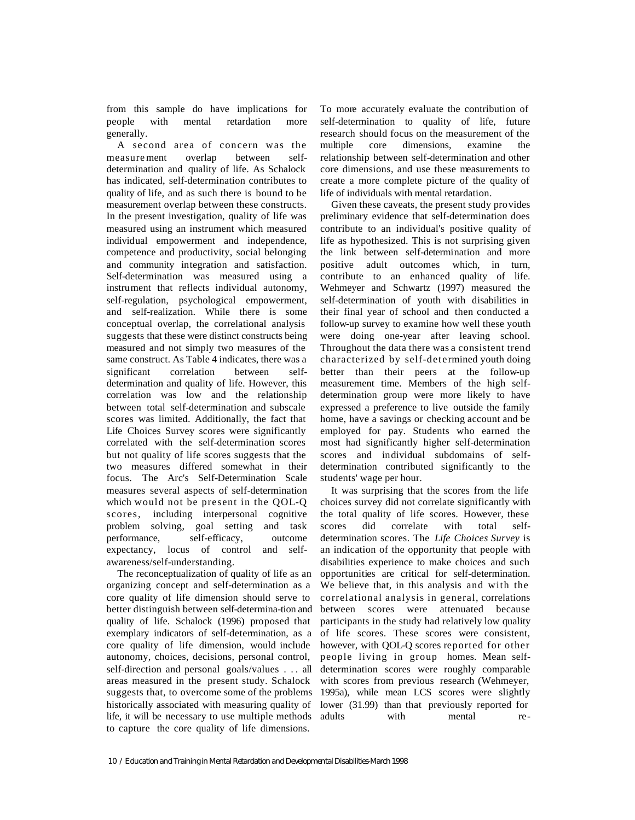from this sample do have implications for people with mental retardation more generally.

A second area of concern was the measurement overlap between selfdetermination and quality of life. As Schalock has indicated, self-determination contributes to quality of life, and as such there is bound to be measurement overlap between these constructs. In the present investigation, quality of life was measured using an instrument which measured individual empowerment and independence, competence and productivity, social belonging and community integration and satisfaction. Self-determination was measured using a instrument that reflects individual autonomy, self-regulation, psychological empowerment, and self-realization. While there is some conceptual overlap, the correlational analysis suggests that these were distinct constructs being measured and not simply two measures of the same construct. As Table 4 indicates, there was a significant correlation between selfdetermination and quality of life. However, this correlation was low and the relationship between total self-determination and subscale scores was limited. Additionally, the fact that Life Choices Survey scores were significantly correlated with the self-determination scores but not quality of life scores suggests that the two measures differed somewhat in their focus. The Arc's Self-Determination Scale measures several aspects of self-determination which would not be present in the QOL-Q scores, including interpersonal cognitive problem solving, goal setting and task performance, self-efficacy, outcome expectancy, locus of control and selfawareness/self-understanding.

The reconceptualization of quality of life as an organizing concept and self-determination as a core quality of life dimension should serve to better distinguish between self-determina-tion and quality of life. Schalock (1996) proposed that exemplary indicators of self-determination, as a core quality of life dimension, would include autonomy, choices, decisions, personal control, self-direction and personal goals/values . . . all areas measured in the present study. Schalock suggests that, to overcome some of the problems historically associated with measuring quality of life, it will be necessary to use multiple methods to capture the core quality of life dimensions.

To more accurately evaluate the contribution of self-determination to quality of life, future research should focus on the measurement of the multiple core dimensions, examine the relationship between self-determination and other core dimensions, and use these measurements to create a more complete picture of the quality of life of individuals with mental retardation.

Given these caveats, the present study provides preliminary evidence that self-determination does contribute to an individual's positive quality of life as hypothesized. This is not surprising given the link between self-determination and more positive adult outcomes which, in turn, contribute to an enhanced quality of life. Wehmeyer and Schwartz (1997) measured the self-determination of youth with disabilities in their final year of school and then conducted a follow-up survey to examine how well these youth were doing one-year after leaving school. Throughout the data there was a consistent trend characterized by self-determined youth doing better than their peers at the follow-up measurement time. Members of the high selfdetermination group were more likely to have expressed a preference to live outside the family home, have a savings or checking account and be employed for pay. Students who earned the most had significantly higher self-determination scores and individual subdomains of selfdetermination contributed significantly to the students' wage per hour.

It was surprising that the scores from the life choices survey did not correlate significantly with the total quality of life scores. However, these scores did correlate with total selfdetermination scores. The *Life Choices Survey* is an indication of the opportunity that people with disabilities experience to make choices and such opportunities are critical for self-determination. We believe that, in this analysis and with the correlational analysis in general, correlations between scores were attenuated because participants in the study had relatively low quality of life scores. These scores were consistent, however, with QOL-Q scores reported for other people living in group homes. Mean selfdetermination scores were roughly comparable with scores from previous research (Wehmeyer, 1995a), while mean LCS scores were slightly lower (31.99) than that previously reported for adults with mental re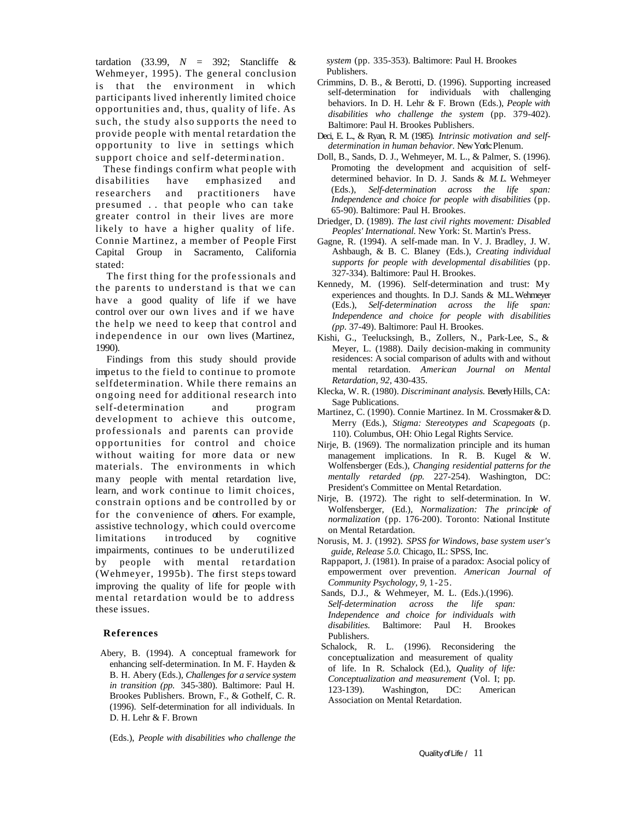tardation (33.99, *N* = 392; Stancliffe & Wehmeyer, 1995). The general conclusion is that the environment in which participants lived inherently limited choice opportunities and, thus, quality of life. As such, the study also supports the need to provide people with mental retardation the opportunity to live in settings which support choice and self-determination.

These findings confirm what people with disabilities have emphasized and researchers and practitioners have presumed . . that people who can take greater control in their lives are more likely to have a higher quality of life. Connie Martinez, a member of People First Capital Group in Sacramento, California stated:

The first thing for the profe ssionals and the parents to understand is that we can have a good quality of life if we have control over our own lives and if we have the help we need to keep that control and independence in our own lives (Martinez, 1990).

Findings from this study should provide impetus to the field to continue to promote selfdetermination. While there remains an ongoing need for additional research into self-determination and program development to achieve this outcome, professionals and parents can provide opportunities for control and choice without waiting for more data or new materials. The environments in which many people with mental retardation live, learn, and work continue to limit choices, constrain options and be controlled by or for the convenience of others. For example, assistive technology, which could overcome limitations in troduced by cognitive impairments, continues to be underutilized by people with mental retardation (Wehmeyer, 1995b). The first steps toward improving the quality of life for people with mental retardation would be to address these issues.

## **References**

Abery, B. (1994). A conceptual framework for enhancing self-determination. In M. F. Hayden & B. H. Abery (Eds.), *Challenges for a service system in transition (pp.* 345-380). Baltimore: Paul H. Brookes Publishers. Brown, F., & Gothelf, C. R. (1996). Self-determination for all individuals. In D. H. Lehr & F. Brown

*system* (pp. 335-353). Baltimore: Paul H. Brookes Publishers.

- Crimmins, D. B., & Berotti, D. (1996). Supporting increased self-determination for individuals with challenging behaviors. In D. H. Lehr & F. Brown (Eds.), *People with disabilities who challenge the system* (pp. 379-402). Baltimore: Paul H. Brookes Publishers.
- Deci, E. L., & Ryan, R. M. (1985). *Intrinsic motivation and selfdetermination in human behavior.* New York: Plenum.
- Doll, B., Sands, D. J., Wehmeyer, M. L., & Palmer, S. (1996). Promoting the development and acquisition of selfdetermined behavior. In D. J. Sands & *M. L.* Wehmeyer (Eds.), *Self-determination across the life span: Independence and choice for people with disabilities* (pp*.*  65-90). Baltimore: Paul H. Brookes.
- Driedger, D. (1989). *The last civil rights movement: Disabled Peoples' International.* New York: St. Martin's Press.
- Gagne, R. (1994). A self-made man. In V. J. Bradley, J. W. Ashbaugh, & B. C. Blaney (Eds.), *Creating individual supports for people with developmental disabilities* (pp*.*  327-334). Baltimore: Paul H. Brookes.
- Kennedy, M. (1996). Self-determination and trust: My experiences and thoughts. In D.J. Sands & M.L. Wehmeyer (Eds.), *Self-determination across the life span: Independence and choice for people with disabilities (pp.* 37-49). Baltimore: Paul H. Brookes.
- Kishi, G., Teelucksingh, B., Zollers, N., Park-Lee, S., & Meyer, L. (1988). Daily decision-making in community residences: A social comparison of adults with and without mental retardation. *American Journal on Mental Retardation, 92,* 430-435.
- Klecka, W. R. (1980). *Discriminant analysis.* Beverly Hills, CA: Sage Publications.
- Martinez, C. (1990). Connie Martinez. In M. Crossmaker & D. Merry (Eds.), *Stigma: Stereotypes and Scapegoats* (p. 110). Columbus, OH: Ohio Legal Rights Service.
- Nirje, B. (1969). The normalization principle and its human management implications. In R. B. Kugel & W. Wolfensberger (Eds.), *Changing residential patterns for the mentally retarded (pp.* 227-254). Washington, DC: President's Committee on Mental Retardation.
- Nirje, B. (1972). The right to self-determination. In W. Wolfensberger, (Ed.), *Normalization: The principle of normalization* (pp*.* 176-200). Toronto: National Institute on Mental Retardation.
- Norusis, M. J. (1992). *SPSS for Windows, base system user's guide, Release 5.0.* Chicago, IL: SPSS, Inc.
- Rappaport, J. (1981). In praise of a paradox: Asocial policy of empowerment over prevention. *American Journal of Community Psychology, 9,* 1-25.
- Sands, D.J., & Wehmeyer, M. L. (Eds.).(1996). *Self-determination across the life span: Independence and choice for individuals with disabilities.* Baltimore: Paul H. Brookes Publishers.
- Schalock, R. L. (1996). Reconsidering the conceptualization and measurement of quality of life. In R. Schalock (Ed.), *Quality of life: Conceptualization and measurement* (Vol. I; pp*.*  123-139). Washington, DC: American Association on Mental Retardation.
- (Eds.), *People with disabilities who challenge the*